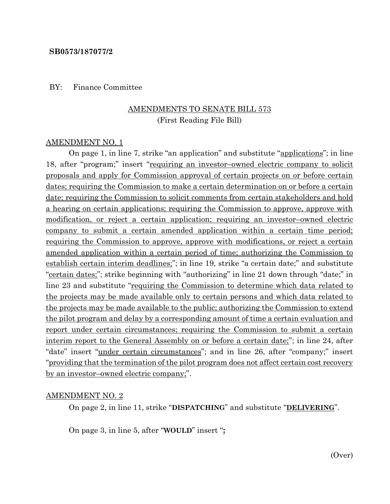#### **SB0573/187077/2**

#### BY: Finance Committee

#### AMENDMENTS TO SENATE BILL 573 (First Reading File Bill)

#### AMENDMENT NO. 1

On page 1, in line 7, strike "an application" and substitute "applications"; in line 18, after "program;" insert "requiring an investor–owned electric company to solicit proposals and apply for Commission approval of certain projects on or before certain dates; requiring the Commission to make a certain determination on or before a certain date; requiring the Commission to solicit comments from certain stakeholders and hold a hearing on certain applications; requiring the Commission to approve, approve with modification, or reject a certain application; requiring an investor–owned electric company to submit a certain amended application within a certain time period; requiring the Commission to approve, approve with modifications, or reject a certain amended application within a certain period of time; authorizing the Commission to establish certain interim deadlines;"; in line 19, strike "a certain date;" and substitute "certain dates;"; strike beginning with "authorizing" in line 21 down through "date;" in line 23 and substitute "requiring the Commission to determine which data related to the projects may be made available only to certain persons and which data related to the projects may be made available to the public; authorizing the Commission to extend the pilot program and delay by a corresponding amount of time a certain evaluation and report under certain circumstances; requiring the Commission to submit a certain interim report to the General Assembly on or before a certain date;"; in line 24, after "date" insert "under certain circumstances"; and in line 26, after "company;" insert "providing that the termination of the pilot program does not affect certain cost recovery by an investor–owned electric company;".

#### AMENDMENT NO. 2

On page 2, in line 11, strike "**DISPATCHING**" and substitute "**DELIVERING**".

On page 3, in line 5, after "**WOULD**" insert "**:**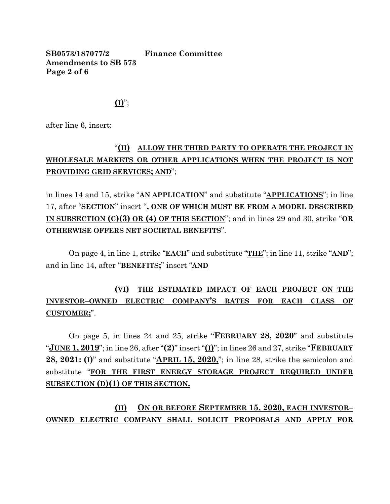**SB0573/187077/2 Finance Committee Amendments to SB 573 Page 2 of 6**

 $($ **I** $)$ ";

after line 6, insert:

### "**(II) ALLOW THE THIRD PARTY TO OPERATE THE PROJECT IN WHOLESALE MARKETS OR OTHER APPLICATIONS WHEN THE PROJECT IS NOT PROVIDING GRID SERVICES; AND**";

in lines 14 and 15, strike "**AN APPLICATION**" and substitute "**APPLICATIONS**"; in line 17, after "**SECTION**" insert "**, ONE OF WHICH MUST BE FROM A MODEL DESCRIBED IN SUBSECTION (C)(3) OR (4) OF THIS SECTION**"; and in lines 29 and 30, strike "**OR OTHERWISE OFFERS NET SOCIETAL BENEFITS**".

On page 4, in line 1, strike "**EACH**" and substitute "**THE**"; in line 11, strike "**AND**"; and in line 14, after "**BENEFITS;**" insert "**AND**

# **(VI) THE ESTIMATED IMPACT OF EACH PROJECT ON THE INVESTOR–OWNED ELECTRIC COMPANY'S RATES FOR EACH CLASS OF CUSTOMER;**".

On page 5, in lines 24 and 25, strike "**FEBRUARY 28, 2020**" and substitute "**JUNE 1, 2019**"; in line 26, after "**(2)**" insert "**(I)**"; in lines 26 and 27, strike "**FEBRUARY 28, 2021: (I)**" and substitute "**APRIL 15, 2020,**"; in line 28, strike the semicolon and substitute "**FOR THE FIRST ENERGY STORAGE PROJECT REQUIRED UNDER SUBSECTION (D)(1) OF THIS SECTION.**

**(II) ON OR BEFORE SEPTEMBER 15, 2020, EACH INVESTOR– OWNED ELECTRIC COMPANY SHALL SOLICIT PROPOSALS AND APPLY FOR**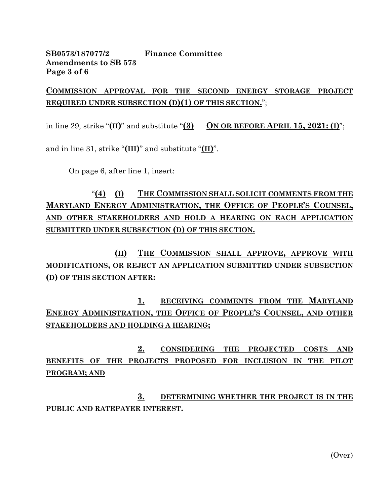**SB0573/187077/2 Finance Committee Amendments to SB 573 Page 3 of 6**

**COMMISSION APPROVAL FOR THE SECOND ENERGY STORAGE PROJECT REQUIRED UNDER SUBSECTION (D)(1) OF THIS SECTION.**";

in line 29, strike " $(\text{II})$ " and substitute " $(\text{3})$  ON OR BEFORE APRIL 15, 2021:  $(\text{I})$ ";

and in line 31, strike "**(III)**" and substitute "**(II)**".

On page 6, after line 1, insert:

"**(4) (I) THE COMMISSION SHALL SOLICIT COMMENTS FROM THE MARYLAND ENERGY ADMINISTRATION, THE OFFICE OF PEOPLE'S COUNSEL, AND OTHER STAKEHOLDERS AND HOLD A HEARING ON EACH APPLICATION SUBMITTED UNDER SUBSECTION (D) OF THIS SECTION.**

**(II) THE COMMISSION SHALL APPROVE, APPROVE WITH MODIFICATIONS, OR REJECT AN APPLICATION SUBMITTED UNDER SUBSECTION (D) OF THIS SECTION AFTER:**

**1. RECEIVING COMMENTS FROM THE MARYLAND ENERGY ADMINISTRATION, THE OFFICE OF PEOPLE'S COUNSEL, AND OTHER STAKEHOLDERS AND HOLDING A HEARING;**

**2. CONSIDERING THE PROJECTED COSTS AND BENEFITS OF THE PROJECTS PROPOSED FOR INCLUSION IN THE PILOT PROGRAM; AND** 

**3. DETERMINING WHETHER THE PROJECT IS IN THE PUBLIC AND RATEPAYER INTEREST.**

(Over)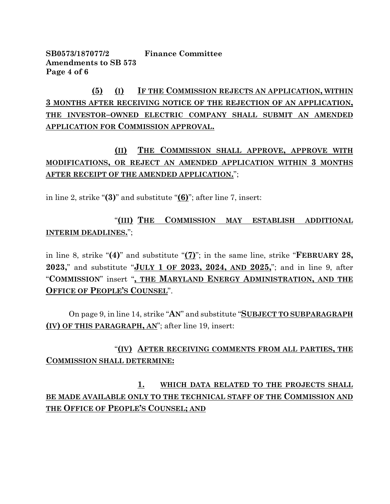**SB0573/187077/2 Finance Committee Amendments to SB 573 Page 4 of 6**

**(5) (I) IF THE COMMISSION REJECTS AN APPLICATION, WITHIN 3 MONTHS AFTER RECEIVING NOTICE OF THE REJECTION OF AN APPLICATION, THE INVESTOR–OWNED ELECTRIC COMPANY SHALL SUBMIT AN AMENDED APPLICATION FOR COMMISSION APPROVAL.**

# **(II) THE COMMISSION SHALL APPROVE, APPROVE WITH MODIFICATIONS, OR REJECT AN AMENDED APPLICATION WITHIN 3 MONTHS AFTER RECEIPT OF THE AMENDED APPLICATION.**";

in line 2, strike "**(3)**" and substitute "**(6)**"; after line 7, insert:

"**(III) THE COMMISSION MAY ESTABLISH ADDITIONAL INTERIM DEADLINES.**";

in line 8, strike "**(4)**" and substitute "**(7)**"; in the same line, strike "**FEBRUARY 28, 2023,**" and substitute "**JULY 1 OF 2023, 2024, AND 2025,**"; and in line 9, after "**COMMISSION**" insert "**, THE MARYLAND ENERGY ADMINISTRATION, AND THE OFFICE OF PEOPLE'S COUNSEL**".

On page 9, in line 14, strike "**AN**" and substitute "**SUBJECT TO SUBPARAGRAPH (IV) OF THIS PARAGRAPH, AN**"; after line 19, insert:

### "**(IV) AFTER RECEIVING COMMENTS FROM ALL PARTIES, THE COMMISSION SHALL DETERMINE:**

**1. WHICH DATA RELATED TO THE PROJECTS SHALL BE MADE AVAILABLE ONLY TO THE TECHNICAL STAFF OF THE COMMISSION AND THE OFFICE OF PEOPLE'S COUNSEL; AND**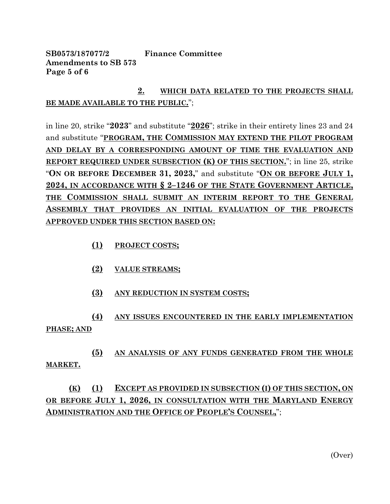**SB0573/187077/2 Finance Committee Amendments to SB 573 Page 5 of 6**

### **2. WHICH DATA RELATED TO THE PROJECTS SHALL BE MADE AVAILABLE TO THE PUBLIC.**";

in line 20, strike "**2023**" and substitute "**2026**"; strike in their entirety lines 23 and 24 and substitute "**PROGRAM, THE COMMISSION MAY EXTEND THE PILOT PROGRAM AND DELAY BY A CORRESPONDING AMOUNT OF TIME THE EVALUATION AND REPORT REQUIRED UNDER SUBSECTION (K) OF THIS SECTION.**"; in line 25, strike "**ON OR BEFORE DECEMBER 31, 2023,**" and substitute "**ON OR BEFORE JULY 1, 2024, IN ACCORDANCE WITH § 2–1246 OF THE STATE GOVERNMENT ARTICLE, THE COMMISSION SHALL SUBMIT AN INTERIM REPORT TO THE GENERAL ASSEMBLY THAT PROVIDES AN INITIAL EVALUATION OF THE PROJECTS APPROVED UNDER THIS SECTION BASED ON:**

- **(1) PROJECT COSTS;**
- **(2) VALUE STREAMS;**
- **(3) ANY REDUCTION IN SYSTEM COSTS;**

**(4) ANY ISSUES ENCOUNTERED IN THE EARLY IMPLEMENTATION PHASE; AND**

**(5) AN ANALYSIS OF ANY FUNDS GENERATED FROM THE WHOLE MARKET.**

# **(K) (1) EXCEPT AS PROVIDED IN SUBSECTION (I) OF THIS SECTION, ON OR BEFORE JULY 1, 2026, IN CONSULTATION WITH THE MARYLAND ENERGY ADMINISTRATION AND THE OFFICE OF PEOPLE'S COUNSEL,**";

(Over)